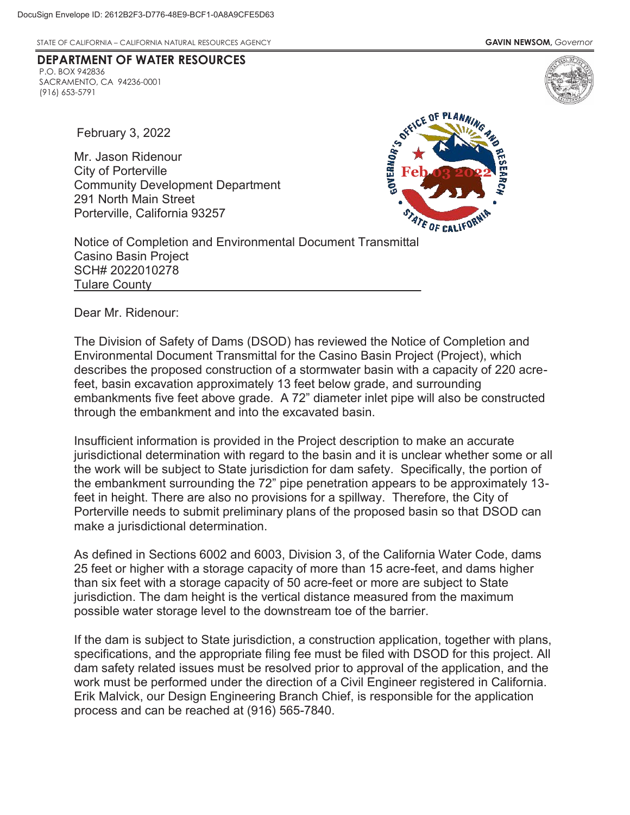**DEPARTMENT OF WATER RESOURCES**

STATE OF CALIFORNIA – CALIFORNIA NATURAL RESOURCES AGENCY **GAVIN NEWSOM,** *Governor*

February 3, 2022

P.O. BOX 942836

(916) 653-5791

SACRAMENTO, CA 94236-0001

Mr. Jason Ridenour City of Porterville Community Development Department 291 North Main Street Porterville, California 93257



Tulare County **All According to the County of Tulare County** Notice of Completion and Environmental Document Transmittal Casino Basin Project SCH# 2022010278

Dear Mr. Ridenour:

The Division of Safety of Dams (DSOD) has reviewed the Notice of Completion and Environmental Document Transmittal for the Casino Basin Project (Project), which describes the proposed construction of a stormwater basin with a capacity of 220 acrefeet, basin excavation approximately 13 feet below grade, and surrounding embankments five feet above grade. A 72" diameter inlet pipe will also be constructed through the embankment and into the excavated basin.

 Insufficient information is provided in the Project description to make an accurate jurisdictional determination with regard to the basin and it is unclear whether some or all the work will be subject to State jurisdiction for dam safety. Specifically, the portion of the embankment surrounding the 72" pipe penetration appears to be approximately 13 feet in height. There are also no provisions for a spillway. Therefore, the City of Porterville needs to submit preliminary plans of the proposed basin so that DSOD can make a jurisdictional determination.

 than six feet with a storage capacity of 50 acre-feet or more are subject to State As defined in Sections 6002 and 6003, Division 3, of the California Water Code, dams 25 feet or higher with a storage capacity of more than 15 acre-feet, and dams higher jurisdiction. The dam height is the vertical distance measured from the maximum possible water storage level to the downstream toe of the barrier.

 specifications, and the appropriate filing fee must be filed with DSOD for this project. All work must be performed under the direction of a Civil Engineer registered in California. process and can be reached at (916) 565-7840. If the dam is subject to State jurisdiction, a construction application, together with plans, dam safety related issues must be resolved prior to approval of the application, and the Erik Malvick, our Design Engineering Branch Chief, is responsible for the application